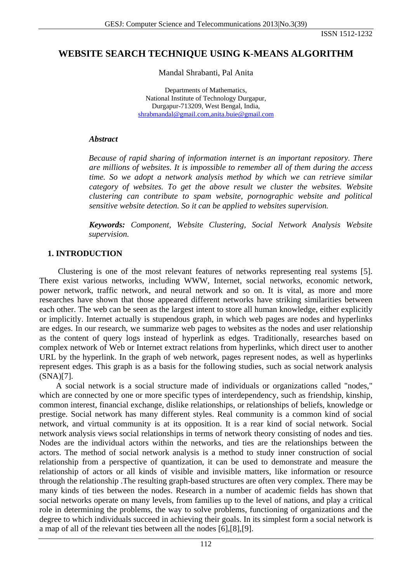## **WEBSITE SEARCH TECHNIQUE USING K-MEANS ALGORITHM**

Mandal Shrabanti, Pal Anita

Departments of Mathematics, National Institute of Technology Durgapur, Durgapur-713209, West Bengal, India, [shrabmandal@gmail.com,anita.buie@gmail.com](mailto:shrabmandal@gmail.com,anita.buie@gmail.com)

#### *Abstract*

*Because of rapid sharing of information internet is an important repository. There are millions of websites. It is impossible to remember all of them during the access time. So we adopt a network analysis method by which we can retrieve similar category of websites. To get the above result we cluster the websites. Website clustering can contribute to spam website, pornographic website and political sensitive website detection. So it can be applied to websites supervision.* 

*Keywords: Component, Website Clustering, Social Network Analysis Website supervision.* 

## **1. INTRODUCTION**

 Clustering is one of the most relevant features of networks representing real systems [5]. There exist various networks, including WWW, Internet, social networks, economic network, power network, traffic network, and neural network and so on. It is vital, as more and more researches have shown that those appeared different networks have striking similarities between each other. The web can be seen as the largest intent to store all human knowledge, either explicitly or implicitly. Internet actually is stupendous graph, in which web pages are nodes and hyperlinks are edges. In our research, we summarize web pages to websites as the nodes and user relationship as the content of query logs instead of hyperlink as edges. Traditionally, researches based on complex network of Web or Internet extract relations from hyperlinks, which direct user to another URL by the hyperlink. In the graph of web network, pages represent nodes, as well as hyperlinks represent edges. This graph is as a basis for the following studies, such as social network analysis (SNA)[7].

 A social network is a social structure made of individuals or organizations called "nodes," which are connected by one or more specific types of interdependency, such as friendship, kinship, common interest, financial exchange, dislike relationships, or relationships of beliefs, knowledge or prestige. Social network has many different styles. Real community is a common kind of social network, and virtual community is at its opposition. It is a rear kind of social network. Social network analysis views social relationships in terms of network theory consisting of nodes and ties. Nodes are the individual actors within the networks, and ties are the relationships between the actors. The method of social network analysis is a method to study inner construction of social relationship from a perspective of quantization, it can be used to demonstrate and measure the relationship of actors or all kinds of visible and invisible matters, like information or resource through the relationship .The resulting graph-based structures are often very complex. There may be many kinds of ties between the nodes. Research in a number of academic fields has shown that social networks operate on many levels, from families up to the level of nations, and play a critical role in determining the problems, the way to solve problems, functioning of organizations and the degree to which individuals succeed in achieving their goals. In its simplest form a social network is a map of all of the relevant ties between all the nodes [6],[8],[9].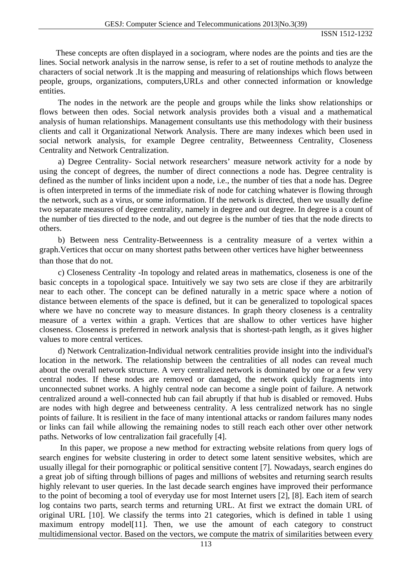These concepts are often displayed in a sociogram, where nodes are the points and ties are the lines. Social network analysis in the narrow sense, is refer to a set of routine methods to analyze the characters of social network .It is the mapping and measuring of relationships which flows between people, groups, organizations, computers,URLs and other connected information or knowledge entities.

 The nodes in the network are the people and groups while the links show relationships or flows between then odes. Social network analysis provides both a visual and a mathematical analysis of human relationships. Management consultants use this methodology with their business clients and call it Organizational Network Analysis. There are many indexes which been used in social network analysis, for example Degree centrality, Betweenness Centrality, Closeness Centrality and Network Centralization.

 a) Degree Centrality- Social network researchers' measure network activity for a node by using the concept of degrees, the number of direct connections a node has. Degree centrality is defined as the number of links incident upon a node, i.e., the number of ties that a node has. Degree is often interpreted in terms of the immediate risk of node for catching whatever is flowing through the network, such as a virus, or some information. If the network is directed, then we usually define two separate measures of degree centrality, namely in degree and out degree. In degree is a count of the number of ties directed to the node, and out degree is the number of ties that the node directs to others.

 b) Between ness Centrality-Betweenness is a centrality measure of a vertex within a graph.Vertices that occur on many shortest paths between other vertices have higher betweenness than those that do not.

 c) Closeness Centrality -In topology and related areas in mathematics, closeness is one of the basic concepts in a topological space. Intuitively we say two sets are close if they are arbitrarily near to each other. The concept can be defined naturally in a metric space where a notion of distance between elements of the space is defined, but it can be generalized to topological spaces where we have no concrete way to measure distances. In graph theory closeness is a centrality measure of a vertex within a graph. Vertices that are shallow to other vertices have higher closeness. Closeness is preferred in network analysis that is shortest-path length, as it gives higher values to more central vertices.

 d) Network Centralization-Individual network centralities provide insight into the individual's location in the network. The relationship between the centralities of all nodes can reveal much about the overall network structure. A very centralized network is dominated by one or a few very central nodes. If these nodes are removed or damaged, the network quickly fragments into unconnected subnet works. A highly central node can become a single point of failure. A network centralized around a well-connected hub can fail abruptly if that hub is disabled or removed. Hubs are nodes with high degree and betweeness centrality. A less centralized network has no single points of failure. It is resilient in the face of many intentional attacks or random failures many nodes or links can fail while allowing the remaining nodes to still reach each other over other network paths. Networks of low centralization fail gracefully [4].

 In this paper, we propose a new method for extracting website relations from query logs of search engines for website clustering in order to detect some latent sensitive websites, which are usually illegal for their pornographic or political sensitive content [7]. Nowadays, search engines do a great job of sifting through billions of pages and millions of websites and returning search results highly relevant to user queries. In the last decade search engines have improved their performance to the point of becoming a tool of everyday use for most Internet users [2], [8]. Each item of search log contains two parts, search terms and returning URL. At first we extract the domain URL of original URL [10]. We classify the terms into 21 categories, which is defined in table 1 using maximum entropy model[11]. Then, we use the amount of each category to construct multidimensional vector. Based on the vectors, we compute the matrix of similarities between every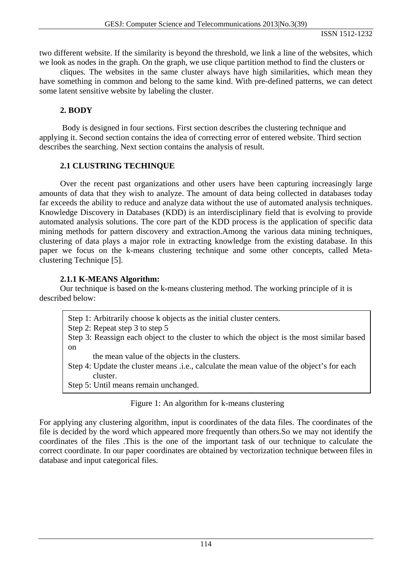two different website. If the similarity is beyond the threshold, we link a line of the websites, which we look as nodes in the graph. On the graph, we use clique partition method to find the clusters or

 cliques. The websites in the same cluster always have high similarities, which mean they have something in common and belong to the same kind. With pre-defined patterns, we can detect some latent sensitive website by labeling the cluster.

## **2. BODY**

 Body is designed in four sections. First section describes the clustering technique and applying it. Second section contains the idea of correcting error of entered website. Third section describes the searching. Next section contains the analysis of result.

# **2.1 CLUSTRING TECHINQUE**

 Over the recent past organizations and other users have been capturing increasingly large amounts of data that they wish to analyze. The amount of data being collected in databases today far exceeds the ability to reduce and analyze data without the use of automated analysis techniques. Knowledge Discovery in Databases (KDD) is an interdisciplinary field that is evolving to provide automated analysis solutions. The core part of the KDD process is the application of specific data mining methods for pattern discovery and extraction.Among the various data mining techniques, clustering of data plays a major role in extracting knowledge from the existing database. In this paper we focus on the k-means clustering technique and some other concepts, called Metaclustering Technique [5].

## **2.1.1 K-MEANS Algorithm:**

 Our technique is based on the k-means clustering method. The working principle of it is described below:

Step 1: Arbitrarily choose k objects as the initial cluster centers.

Step 2: Repeat step 3 to step 5

Step 3: Reassign each object to the cluster to which the object is the most similar based on

the mean value of the objects in the clusters.

Step 4: Update the cluster means .i.e., calculate the mean value of the object's for each cluster.

Step 5: Until means remain unchanged.

Figure 1: An algorithm for k-means clustering

For applying any clustering algorithm, input is coordinates of the data files. The coordinates of the file is decided by the word which appeared more frequently than others.So we may not identify the coordinates of the files .This is the one of the important task of our technique to calculate the correct coordinate. In our paper coordinates are obtained by vectorization technique between files in database and input categorical files.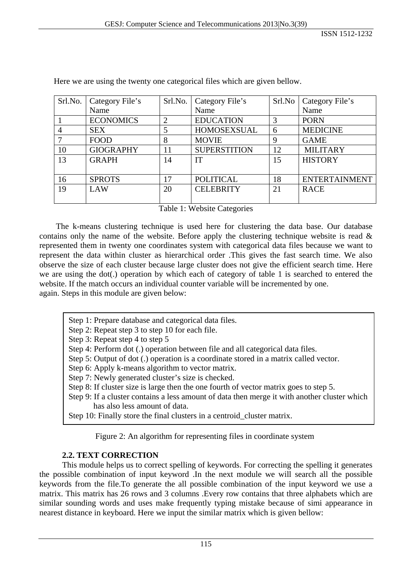| Srl.No.        | Category File's  | Srl.No.        | Category File's     | Srl.No | Category File's      |
|----------------|------------------|----------------|---------------------|--------|----------------------|
|                | Name             |                | Name                |        | Name                 |
|                | <b>ECONOMICS</b> | $\overline{2}$ | <b>EDUCATION</b>    | 3      | <b>PORN</b>          |
| $\overline{4}$ | <b>SEX</b>       |                | HOMOSEXSUAL         | 6      | <b>MEDICINE</b>      |
| 7              | <b>FOOD</b>      | 8              | <b>MOVIE</b>        | 9      | <b>GAME</b>          |
| 10             | <b>GIOGRAPHY</b> | 11             | <b>SUPERSTITION</b> | 12     | <b>MILITARY</b>      |
| 13             | <b>GRAPH</b>     | 14             | IT                  | 15     | <b>HISTORY</b>       |
|                |                  |                |                     |        |                      |
| 16             | <b>SPROTS</b>    | 17             | <b>POLITICAL</b>    | 18     | <b>ENTERTAINMENT</b> |
| 19             | LAW              | 20             | <b>CELEBRITY</b>    | 21     | <b>RACE</b>          |
|                |                  |                |                     |        |                      |

Here we are using the twenty one categorical files which are given bellow.

Table 1: Website Categories

 The k-means clustering technique is used here for clustering the data base. Our database contains only the name of the website. Before apply the clustering technique website is read  $\&$ represented them in twenty one coordinates system with categorical data files because we want to represent the data within cluster as hierarchical order .This gives the fast search time. We also observe the size of each cluster because large cluster does not give the efficient search time. Here we are using the dot(.) operation by which each of category of table 1 is searched to entered the website. If the match occurs an individual counter variable will be incremented by one. again. Steps in this module are given below:

- Step 1: Prepare database and categorical data files.
- Step 2: Repeat step 3 to step 10 for each file.

Step 3: Repeat step 4 to step 5

- Step 4: Perform dot (.) operation between file and all categorical data files.
- Step 5: Output of dot (.) operation is a coordinate stored in a matrix called vector.
- Step 6: Apply k-means algorithm to vector matrix.
- Step 7: Newly generated cluster's size is checked.
- Step 8: If cluster size is large then the one fourth of vector matrix goes to step 5.
- Step 9: If a cluster contains a less amount of data then merge it with another cluster which has also less amount of data.
- Step 10: Finally store the final clusters in a centroid\_cluster matrix.

Figure 2: An algorithm for representing files in coordinate system

## **2.2. TEXT CORRECTION**

 This module helps us to correct spelling of keywords. For correcting the spelling it generates the possible combination of input keyword .In the next module we will search all the possible keywords from the file.To generate the all possible combination of the input keyword we use a matrix. This matrix has 26 rows and 3 columns .Every row contains that three alphabets which are similar sounding words and uses make frequently typing mistake because of simi appearance in nearest distance in keyboard. Here we input the similar matrix which is given bellow: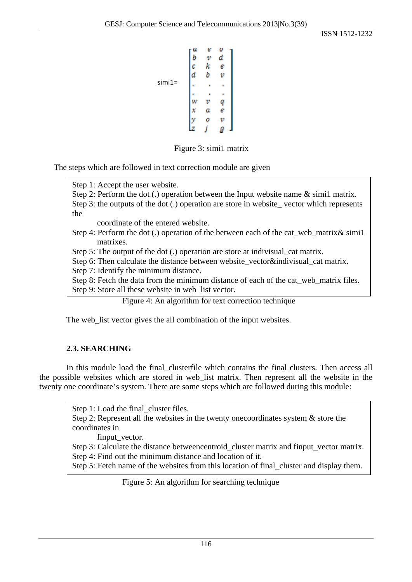|          |   |   | Q |  |
|----------|---|---|---|--|
|          |   |   |   |  |
|          | с | k | е |  |
|          |   | b |   |  |
| $simi1=$ | ٠ | ٠ | ٠ |  |
|          | ۲ |   | ٠ |  |
|          |   |   |   |  |
|          |   |   | е |  |
|          |   | ο |   |  |
|          |   |   |   |  |

Figure 3: simi1 matrix

The steps which are followed in text correction module are given

Step 1: Accept the user website.

- Step 2: Perform the dot (.) operation between the Input website name  $\&$  simil matrix.
- Step 3: the outputs of the dot (.) operation are store in website—vector which represents the

coordinate of the entered website.

- Step 4: Perform the dot (.) operation of the between each of the cat web matrix  $&$  simil matrixes.
- Step 5: The output of the dot (.) operation are store at indivisual\_cat matrix.
- Step 6: Then calculate the distance between website\_vector&indivisual\_cat matrix.
- Step 7: Identify the minimum distance.
- Step 8: Fetch the data from the minimum distance of each of the cat\_web\_matrix files.
- Step 9: Store all these website in web list vector.

Figure 4: An algorithm for text correction technique

The web\_list vector gives the all combination of the input websites.

## **2.3. SEARCHING**

 In this module load the final\_clusterfile which contains the final clusters. Then access all the possible websites which are stored in web\_list matrix. Then represent all the website in the twenty one coordinate's system. There are some steps which are followed during this module:

Step 1: Load the final cluster files.

Step 2: Represent all the websites in the twenty onecoordinates system & store the coordinates in

finput\_vector.

- Step 3: Calculate the distance betweencentroid cluster matrix and finput vector matrix.
- Step 4: Find out the minimum distance and location of it.
- Step 5: Fetch name of the websites from this location of final\_cluster and display them.

Figure 5: An algorithm for searching technique